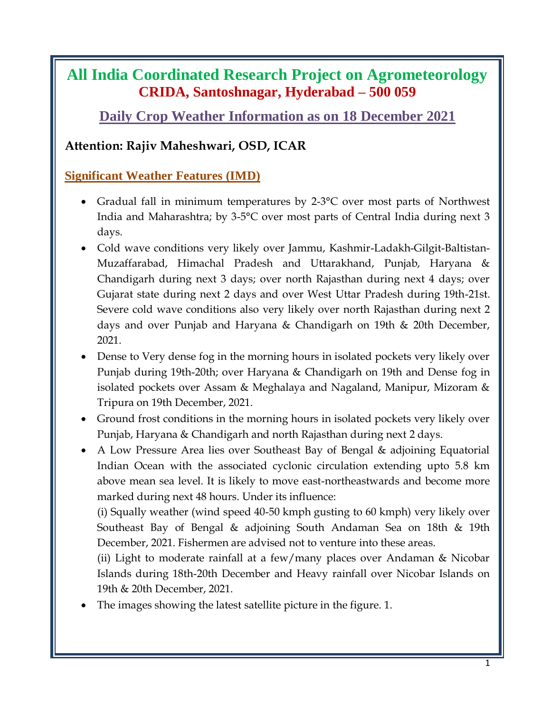## **All India Coordinated Research Project on Agrometeorology CRIDA, Santoshnagar, Hyderabad – 500 059**

**Daily Crop Weather Information as on 18 December 2021**

### **Attention: Rajiv Maheshwari, OSD, ICAR**

#### **Significant Weather Features (IMD)**

- Gradual fall in minimum temperatures by 2-3°C over most parts of Northwest India and Maharashtra; by 3-5°C over most parts of Central India during next 3 days.
- Cold wave conditions very likely over Jammu, Kashmir-Ladakh-Gilgit-Baltistan-Muzaffarabad, Himachal Pradesh and Uttarakhand, Punjab, Haryana & Chandigarh during next 3 days; over north Rajasthan during next 4 days; over Gujarat state during next 2 days and over West Uttar Pradesh during 19th-21st. Severe cold wave conditions also very likely over north Rajasthan during next 2 days and over Punjab and Haryana & Chandigarh on 19th & 20th December, 2021.
- Dense to Very dense fog in the morning hours in isolated pockets very likely over Punjab during 19th-20th; over Haryana & Chandigarh on 19th and Dense fog in isolated pockets over Assam & Meghalaya and Nagaland, Manipur, Mizoram & Tripura on 19th December, 2021.
- Ground frost conditions in the morning hours in isolated pockets very likely over Punjab, Haryana & Chandigarh and north Rajasthan during next 2 days.

 A Low Pressure Area lies over Southeast Bay of Bengal & adjoining Equatorial Indian Ocean with the associated cyclonic circulation extending upto 5.8 km above mean sea level. It is likely to move east-northeastwards and become more marked during next 48 hours. Under its influence:

(i) Squally weather (wind speed 40-50 kmph gusting to 60 kmph) very likely over Southeast Bay of Bengal & adjoining South Andaman Sea on 18th & 19th December, 2021. Fishermen are advised not to venture into these areas.

(ii) Light to moderate rainfall at a few/many places over Andaman & Nicobar Islands during 18th-20th December and Heavy rainfall over Nicobar Islands on 19th & 20th December, 2021.

The images showing the latest satellite picture in the figure. 1.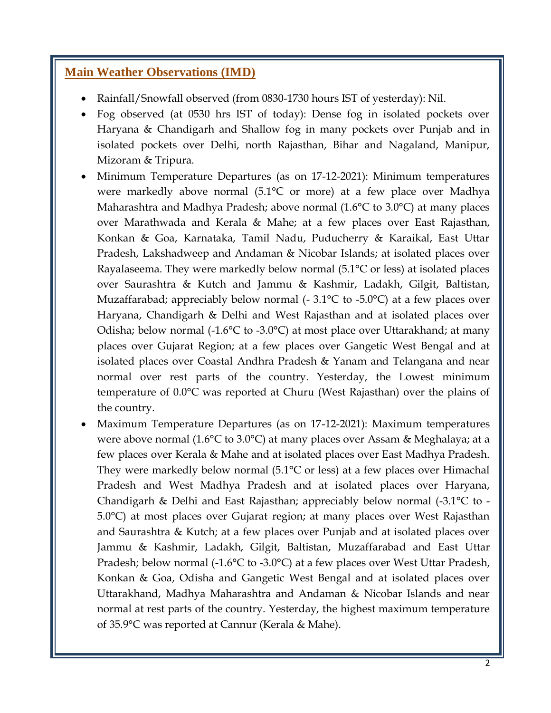#### **Main Weather Observations (IMD)**

- Rainfall/Snowfall observed (from 0830-1730 hours IST of yesterday): Nil.
- Fog observed (at 0530 hrs IST of today): Dense fog in isolated pockets over Haryana & Chandigarh and Shallow fog in many pockets over Punjab and in isolated pockets over Delhi, north Rajasthan, Bihar and Nagaland, Manipur, Mizoram & Tripura.
- Minimum Temperature Departures (as on 17-12-2021): Minimum temperatures were markedly above normal (5.1°C or more) at a few place over Madhya Maharashtra and Madhya Pradesh; above normal (1.6°C to 3.0°C) at many places over Marathwada and Kerala & Mahe; at a few places over East Rajasthan, Konkan & Goa, Karnataka, Tamil Nadu, Puducherry & Karaikal, East Uttar Pradesh, Lakshadweep and Andaman & Nicobar Islands; at isolated places over Rayalaseema. They were markedly below normal (5.1°C or less) at isolated places over Saurashtra & Kutch and Jammu & Kashmir, Ladakh, Gilgit, Baltistan, Muzaffarabad; appreciably below normal (- 3.1<sup>o</sup>C to -5.0<sup>o</sup>C) at a few places over Haryana, Chandigarh & Delhi and West Rajasthan and at isolated places over Odisha; below normal (-1.6°C to -3.0°C) at most place over Uttarakhand; at many places over Gujarat Region; at a few places over Gangetic West Bengal and at isolated places over Coastal Andhra Pradesh & Yanam and Telangana and near normal over rest parts of the country. Yesterday, the Lowest minimum temperature of 0.0°C was reported at Churu (West Rajasthan) over the plains of the country.
- Maximum Temperature Departures (as on 17-12-2021): Maximum temperatures were above normal (1.6°C to 3.0°C) at many places over Assam & Meghalaya; at a few places over Kerala & Mahe and at isolated places over East Madhya Pradesh. They were markedly below normal (5.1°C or less) at a few places over Himachal Pradesh and West Madhya Pradesh and at isolated places over Haryana, Chandigarh & Delhi and East Rajasthan; appreciably below normal (-3.1°C to - 5.0°C) at most places over Gujarat region; at many places over West Rajasthan and Saurashtra & Kutch; at a few places over Punjab and at isolated places over Jammu & Kashmir, Ladakh, Gilgit, Baltistan, Muzaffarabad and East Uttar Pradesh; below normal (-1.6°C to -3.0°C) at a few places over West Uttar Pradesh, Konkan & Goa, Odisha and Gangetic West Bengal and at isolated places over Uttarakhand, Madhya Maharashtra and Andaman & Nicobar Islands and near normal at rest parts of the country. Yesterday, the highest maximum temperature of 35.9°C was reported at Cannur (Kerala & Mahe).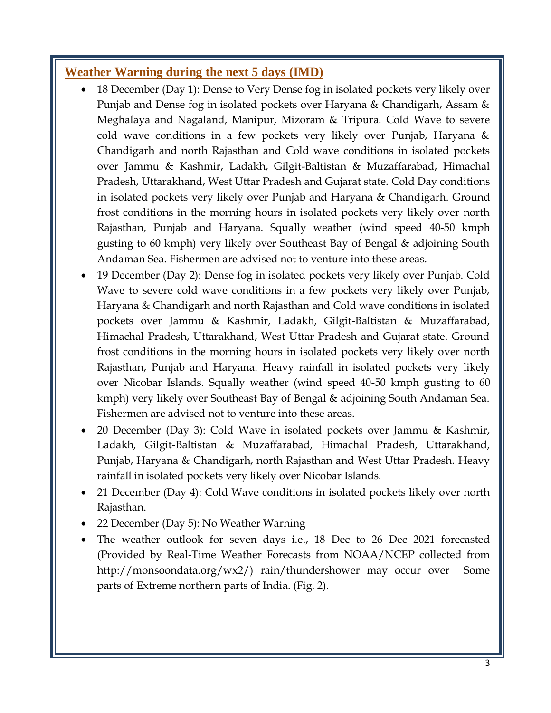#### **Weather Warning during the next 5 days (IMD)**

- 18 December (Day 1): Dense to Very Dense fog in isolated pockets very likely over Punjab and Dense fog in isolated pockets over Haryana & Chandigarh, Assam & Meghalaya and Nagaland, Manipur, Mizoram & Tripura. Cold Wave to severe cold wave conditions in a few pockets very likely over Punjab, Haryana & Chandigarh and north Rajasthan and Cold wave conditions in isolated pockets over Jammu & Kashmir, Ladakh, Gilgit-Baltistan & Muzaffarabad, Himachal Pradesh, Uttarakhand, West Uttar Pradesh and Gujarat state. Cold Day conditions in isolated pockets very likely over Punjab and Haryana & Chandigarh. Ground frost conditions in the morning hours in isolated pockets very likely over north Rajasthan, Punjab and Haryana. Squally weather (wind speed 40-50 kmph gusting to 60 kmph) very likely over Southeast Bay of Bengal & adjoining South Andaman Sea. Fishermen are advised not to venture into these areas.
- 19 December (Day 2): Dense fog in isolated pockets very likely over Punjab. Cold Wave to severe cold wave conditions in a few pockets very likely over Punjab, Haryana & Chandigarh and north Rajasthan and Cold wave conditions in isolated pockets over Jammu & Kashmir, Ladakh, Gilgit-Baltistan & Muzaffarabad, Himachal Pradesh, Uttarakhand, West Uttar Pradesh and Gujarat state. Ground frost conditions in the morning hours in isolated pockets very likely over north Rajasthan, Punjab and Haryana. Heavy rainfall in isolated pockets very likely over Nicobar Islands. Squally weather (wind speed 40-50 kmph gusting to 60 kmph) very likely over Southeast Bay of Bengal & adjoining South Andaman Sea. Fishermen are advised not to venture into these areas.
- 20 December (Day 3): Cold Wave in isolated pockets over Jammu & Kashmir, Ladakh, Gilgit-Baltistan & Muzaffarabad, Himachal Pradesh, Uttarakhand, Punjab, Haryana & Chandigarh, north Rajasthan and West Uttar Pradesh. Heavy rainfall in isolated pockets very likely over Nicobar Islands.
- 21 December (Day 4): Cold Wave conditions in isolated pockets likely over north Rajasthan.
- 22 December (Day 5): No Weather Warning
- The weather outlook for seven days i.e., 18 Dec to 26 Dec 2021 forecasted (Provided by Real-Time Weather Forecasts from NOAA/NCEP collected from http://monsoondata.org/wx2/) rain/thundershower may occur over Some parts of Extreme northern parts of India. (Fig. 2).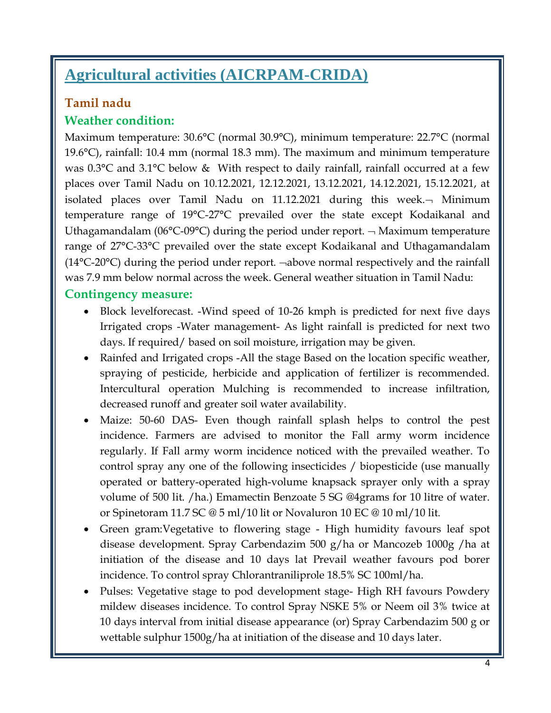# **Agricultural activities (AICRPAM-CRIDA)**

## **Tamil nadu**

## **Weather condition:**

Maximum temperature: 30.6°C (normal 30.9°C), minimum temperature: 22.7°C (normal 19.6°C), rainfall: 10.4 mm (normal 18.3 mm). The maximum and minimum temperature was 0.3°C and 3.1°C below & With respect to daily rainfall, rainfall occurred at a few places over Tamil Nadu on 10.12.2021, 12.12.2021, 13.12.2021, 14.12.2021, 15.12.2021, at isolated places over Tamil Nadu on 11.12.2021 during this week. $\neg$  Minimum temperature range of 19°C-27°C prevailed over the state except Kodaikanal and Uthagamandalam (06 $\textdegree$ C-09 $\textdegree$ C) during the period under report.  $\neg$  Maximum temperature range of 27°C-33°C prevailed over the state except Kodaikanal and Uthagamandalam  $(14^{\circ}C\text{-}20^{\circ}C)$  during the period under report.  $\neg$ above normal respectively and the rainfall was 7.9 mm below normal across the week. General weather situation in Tamil Nadu:

#### **Contingency measure:**

- Block levelforecast. -Wind speed of 10-26 kmph is predicted for next five days Irrigated crops -Water management- As light rainfall is predicted for next two days. If required/ based on soil moisture, irrigation may be given.
- Rainfed and Irrigated crops -All the stage Based on the location specific weather, spraying of pesticide, herbicide and application of fertilizer is recommended. Intercultural operation Mulching is recommended to increase infiltration, decreased runoff and greater soil water availability.
- Maize: 50-60 DAS- Even though rainfall splash helps to control the pest incidence. Farmers are advised to monitor the Fall army worm incidence regularly. If Fall army worm incidence noticed with the prevailed weather. To control spray any one of the following insecticides / biopesticide (use manually operated or battery-operated high-volume knapsack sprayer only with a spray volume of 500 lit. /ha.) Emamectin Benzoate 5 SG @4grams for 10 litre of water. or Spinetoram 11.7 SC @ 5 ml/10 lit or Novaluron 10 EC @ 10 ml/10 lit.
- Green gram:Vegetative to flowering stage High humidity favours leaf spot disease development. Spray Carbendazim 500 g/ha or Mancozeb 1000g /ha at initiation of the disease and 10 days lat Prevail weather favours pod borer incidence. To control spray Chlorantraniliprole 18.5% SC 100ml/ha.
- Pulses: Vegetative stage to pod development stage- High RH favours Powdery mildew diseases incidence. To control Spray NSKE 5% or Neem oil 3% twice at 10 days interval from initial disease appearance (or) Spray Carbendazim 500 g or wettable sulphur 1500g/ha at initiation of the disease and 10 days later.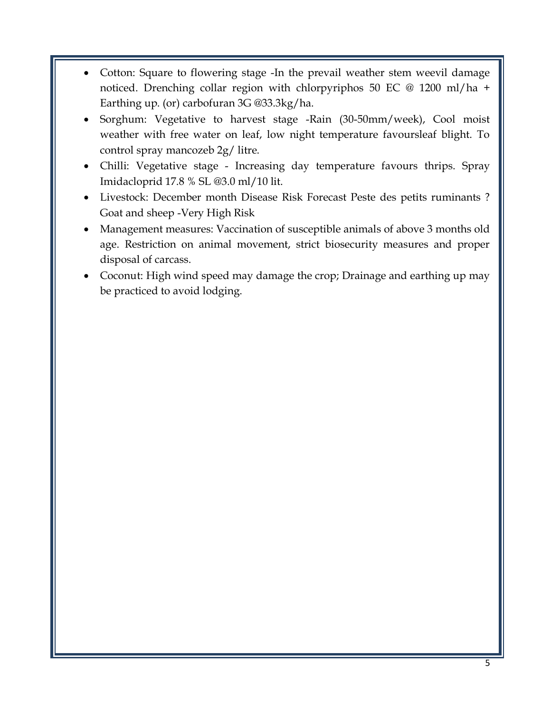- Cotton: Square to flowering stage -In the prevail weather stem weevil damage noticed. Drenching collar region with chlorpyriphos 50 EC @ 1200 ml/ha + Earthing up. (or) carbofuran 3G @33.3kg/ha.
- Sorghum: Vegetative to harvest stage -Rain (30-50mm/week), Cool moist weather with free water on leaf, low night temperature favoursleaf blight. To control spray mancozeb 2g/ litre.
- Chilli: Vegetative stage Increasing day temperature favours thrips. Spray Imidacloprid 17.8 % SL @3.0 ml/10 lit.
- Livestock: December month Disease Risk Forecast Peste des petits ruminants ? Goat and sheep -Very High Risk
- Management measures: Vaccination of susceptible animals of above 3 months old age. Restriction on animal movement, strict biosecurity measures and proper disposal of carcass.
- Coconut: High wind speed may damage the crop; Drainage and earthing up may be practiced to avoid lodging.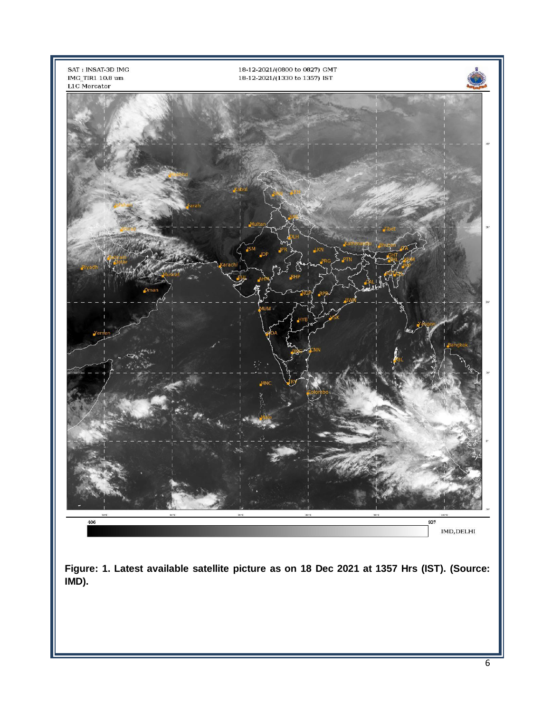

**Figure: 1. Latest available satellite picture as on 18 Dec 2021 at 1357 Hrs (IST). (Source: IMD).**